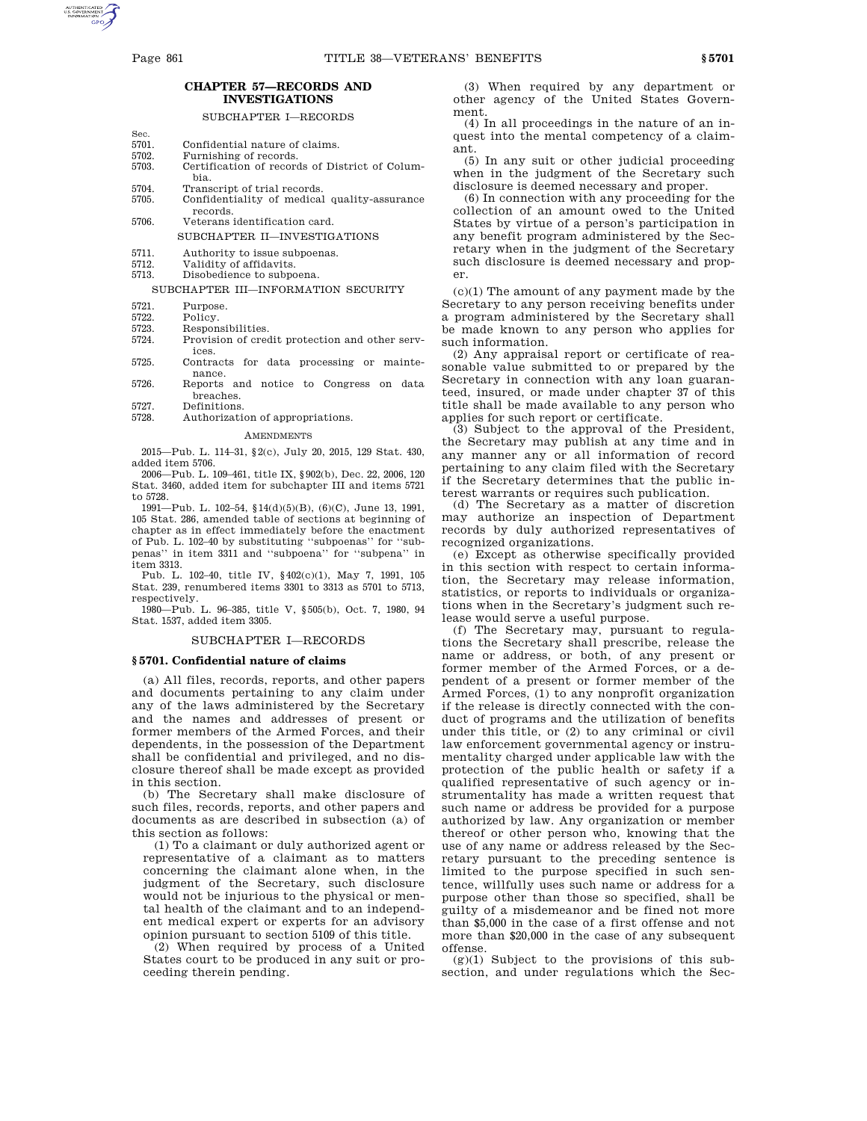Sec.

# **CHAPTER 57—RECORDS AND INVESTIGATIONS**

# SUBCHAPTER I—RECORDS

- 5701. Confidential nature of claims.<br>5702 Furnishing of records
- Furnishing of records.
- 5703. Certification of records of District of Columbia.
- 5704. Transcript of trial records.<br>5705 Confidentiality of medical
- Confidentiality of medical quality-assurance records.
- 5706. Veterans identification card.
	- SUBCHAPTER II—INVESTIGATIONS
- 5711. Authority to issue subpoenas.<br>5712 Validity of affidavits
- Validity of affidavits.
- 5713. Disobedience to subpoena.

# SUBCHAPTER III—INFORMATION SECURITY

- 
- 5721. Purpose.<br>5722. Policy. 5722. Policy.<br>5723. Respon
- 5723. Responsibilities.<br>5724 Provision of cred
- Provision of credit protection and other services.
- 5725. Contracts for data processing or maintenance.
- 5726. Reports and notice to Congress on data breaches.
- 5727. Definitions.
	- Authorization of appropriations.

### AMENDMENTS

2015—Pub. L. 114–31, §2(c), July 20, 2015, 129 Stat. 430, added item 5706.

2006—Pub. L. 109–461, title IX, §902(b), Dec. 22, 2006, 120 Stat. 3460, added item for subchapter III and items 5721 to 5728.

1991—Pub. L. 102–54, §14(d)(5)(B), (6)(C), June 13, 1991, 105 Stat. 286, amended table of sections at beginning of chapter as in effect immediately before the enactment of Pub. L. 102–40 by substituting ''subpoenas'' for ''subpenas'' in item 3311 and ''subpoena'' for ''subpena'' in item 3313.

Pub. L. 102–40, title IV, §402(c)(1), May 7, 1991, 105 Stat. 239, renumbered items 3301 to 3313 as 5701 to 5713, respectively.

1980—Pub. L. 96–385, title V, §505(b), Oct. 7, 1980, 94 Stat. 1537, added item 3305.

# SUBCHAPTER I—RECORDS

# **§ 5701. Confidential nature of claims**

(a) All files, records, reports, and other papers and documents pertaining to any claim under any of the laws administered by the Secretary and the names and addresses of present or former members of the Armed Forces, and their dependents, in the possession of the Department shall be confidential and privileged, and no disclosure thereof shall be made except as provided in this section.

(b) The Secretary shall make disclosure of such files, records, reports, and other papers and documents as are described in subsection (a) of this section as follows:

(1) To a claimant or duly authorized agent or representative of a claimant as to matters concerning the claimant alone when, in the judgment of the Secretary, such disclosure would not be injurious to the physical or mental health of the claimant and to an independent medical expert or experts for an advisory opinion pursuant to section 5109 of this title.

(2) When required by process of a United States court to be produced in any suit or proceeding therein pending.

(3) When required by any department or other agency of the United States Government.

(4) In all proceedings in the nature of an inquest into the mental competency of a claimant.

(5) In any suit or other judicial proceeding when in the judgment of the Secretary such disclosure is deemed necessary and proper.

(6) In connection with any proceeding for the collection of an amount owed to the United States by virtue of a person's participation in any benefit program administered by the Secretary when in the judgment of the Secretary such disclosure is deemed necessary and proper.

 $(c)(1)$  The amount of any payment made by the Secretary to any person receiving benefits under a program administered by the Secretary shall be made known to any person who applies for such information.

(2) Any appraisal report or certificate of reasonable value submitted to or prepared by the Secretary in connection with any loan guaranteed, insured, or made under chapter 37 of this title shall be made available to any person who applies for such report or certificate.

(3) Subject to the approval of the President, the Secretary may publish at any time and in any manner any or all information of record pertaining to any claim filed with the Secretary if the Secretary determines that the public interest warrants or requires such publication.

(d) The Secretary as a matter of discretion may authorize an inspection of Department records by duly authorized representatives of recognized organizations.

(e) Except as otherwise specifically provided in this section with respect to certain information, the Secretary may release information, statistics, or reports to individuals or organizations when in the Secretary's judgment such release would serve a useful purpose.

(f) The Secretary may, pursuant to regulations the Secretary shall prescribe, release the name or address, or both, of any present or former member of the Armed Forces, or a dependent of a present or former member of the Armed Forces, (1) to any nonprofit organization if the release is directly connected with the conduct of programs and the utilization of benefits under this title, or (2) to any criminal or civil law enforcement governmental agency or instrumentality charged under applicable law with the protection of the public health or safety if a qualified representative of such agency or instrumentality has made a written request that such name or address be provided for a purpose authorized by law. Any organization or member thereof or other person who, knowing that the use of any name or address released by the Secretary pursuant to the preceding sentence is limited to the purpose specified in such sentence, willfully uses such name or address for a purpose other than those so specified, shall be guilty of a misdemeanor and be fined not more than \$5,000 in the case of a first offense and not more than \$20,000 in the case of any subsequent offense.

 $(g)(1)$  Subject to the provisions of this subsection, and under regulations which the Sec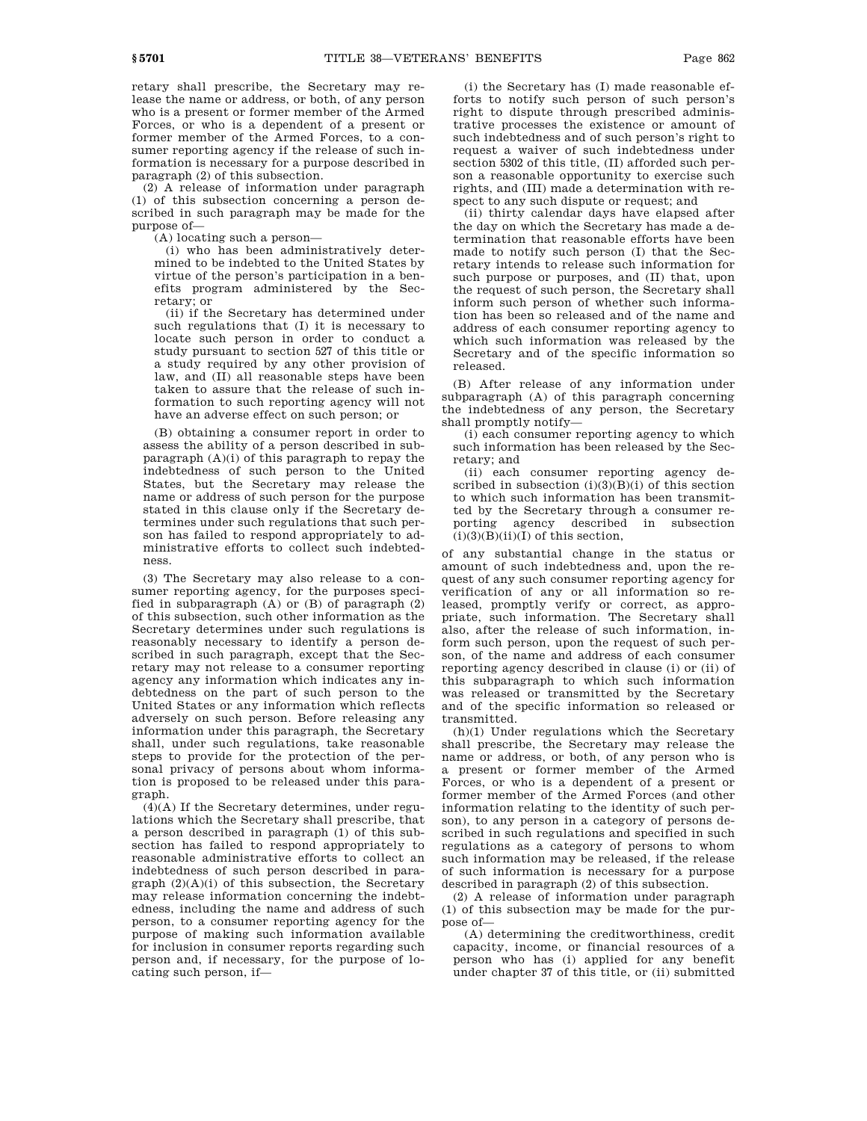retary shall prescribe, the Secretary may release the name or address, or both, of any person who is a present or former member of the Armed Forces, or who is a dependent of a present or former member of the Armed Forces, to a consumer reporting agency if the release of such information is necessary for a purpose described in paragraph (2) of this subsection.

(2) A release of information under paragraph (1) of this subsection concerning a person described in such paragraph may be made for the purpose of—

(A) locating such a person—

(i) who has been administratively determined to be indebted to the United States by virtue of the person's participation in a benefits program administered by the Secretary; or

(ii) if the Secretary has determined under such regulations that (I) it is necessary to locate such person in order to conduct a study pursuant to section 527 of this title or a study required by any other provision of law, and (II) all reasonable steps have been taken to assure that the release of such information to such reporting agency will not have an adverse effect on such person; or

(B) obtaining a consumer report in order to assess the ability of a person described in subparagraph (A)(i) of this paragraph to repay the indebtedness of such person to the United States, but the Secretary may release the name or address of such person for the purpose stated in this clause only if the Secretary determines under such regulations that such person has failed to respond appropriately to administrative efforts to collect such indebtedness.

(3) The Secretary may also release to a consumer reporting agency, for the purposes specified in subparagraph (A) or (B) of paragraph (2) of this subsection, such other information as the Secretary determines under such regulations is reasonably necessary to identify a person described in such paragraph, except that the Secretary may not release to a consumer reporting agency any information which indicates any indebtedness on the part of such person to the United States or any information which reflects adversely on such person. Before releasing any information under this paragraph, the Secretary shall, under such regulations, take reasonable steps to provide for the protection of the personal privacy of persons about whom information is proposed to be released under this paragraph.

 $(4)$ (A) If the Secretary determines, under regulations which the Secretary shall prescribe, that a person described in paragraph (1) of this subsection has failed to respond appropriately to reasonable administrative efforts to collect an indebtedness of such person described in para $graph (2)(A)(i)$  of this subsection, the Secretary may release information concerning the indebtedness, including the name and address of such person, to a consumer reporting agency for the purpose of making such information available for inclusion in consumer reports regarding such person and, if necessary, for the purpose of locating such person, if—

(i) the Secretary has (I) made reasonable efforts to notify such person of such person's right to dispute through prescribed administrative processes the existence or amount of such indebtedness and of such person's right to request a waiver of such indebtedness under section 5302 of this title, (II) afforded such person a reasonable opportunity to exercise such rights, and (III) made a determination with respect to any such dispute or request; and

(ii) thirty calendar days have elapsed after the day on which the Secretary has made a determination that reasonable efforts have been made to notify such person (I) that the Secretary intends to release such information for such purpose or purposes, and (II) that, upon the request of such person, the Secretary shall inform such person of whether such information has been so released and of the name and address of each consumer reporting agency to which such information was released by the Secretary and of the specific information so released.

(B) After release of any information under subparagraph (A) of this paragraph concerning the indebtedness of any person, the Secretary shall promptly notify—

(i) each consumer reporting agency to which such information has been released by the Secretary; and

(ii) each consumer reporting agency described in subsection  $(i)(3)(B)(i)$  of this section to which such information has been transmitted by the Secretary through a consumer reporting agency described in subsection  $(i)(3)(B)(ii)(I)$  of this section,

of any substantial change in the status or amount of such indebtedness and, upon the request of any such consumer reporting agency for verification of any or all information so released, promptly verify or correct, as appropriate, such information. The Secretary shall also, after the release of such information, inform such person, upon the request of such person, of the name and address of each consumer reporting agency described in clause (i) or (ii) of this subparagraph to which such information was released or transmitted by the Secretary and of the specific information so released or transmitted.

(h)(1) Under regulations which the Secretary shall prescribe, the Secretary may release the name or address, or both, of any person who is a present or former member of the Armed Forces, or who is a dependent of a present or former member of the Armed Forces (and other information relating to the identity of such person), to any person in a category of persons described in such regulations and specified in such regulations as a category of persons to whom such information may be released, if the release of such information is necessary for a purpose described in paragraph (2) of this subsection.

(2) A release of information under paragraph (1) of this subsection may be made for the purpose of—

(A) determining the creditworthiness, credit capacity, income, or financial resources of a person who has (i) applied for any benefit under chapter 37 of this title, or (ii) submitted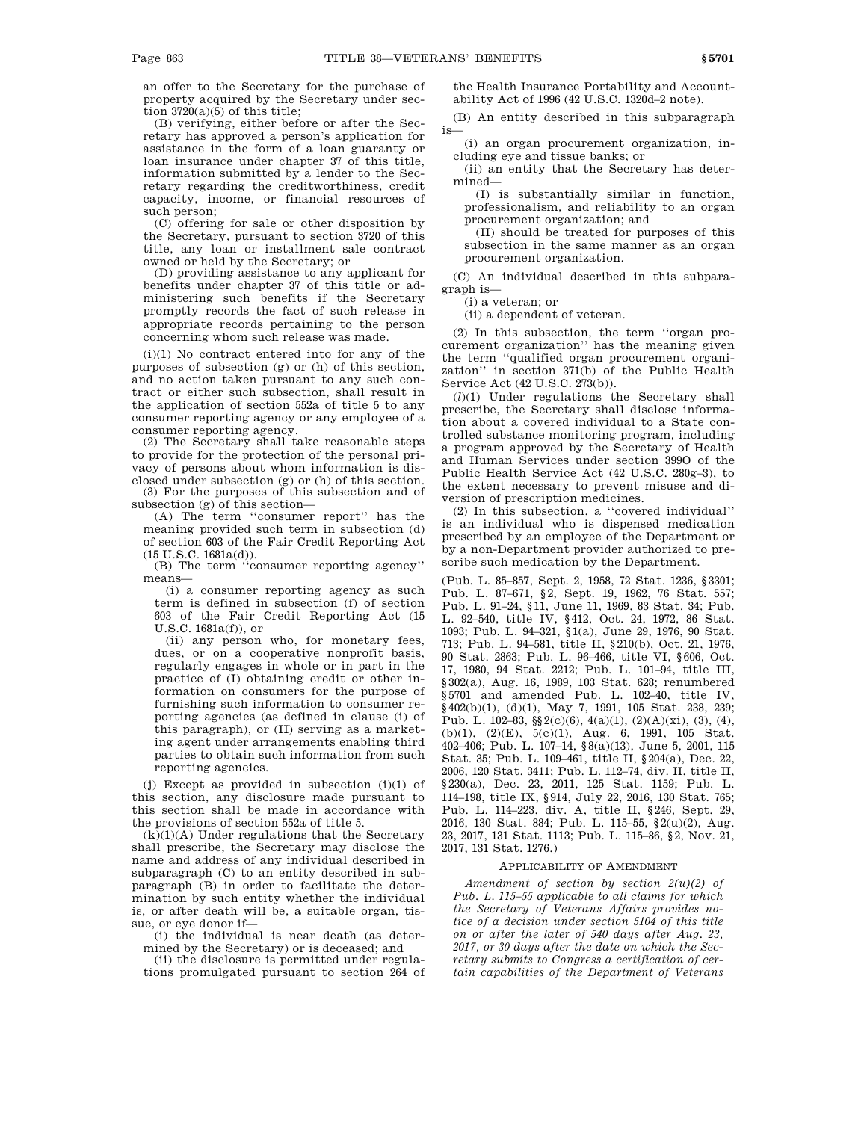an offer to the Secretary for the purchase of property acquired by the Secretary under section  $3720(a)(5)$  of this title;

(B) verifying, either before or after the Secretary has approved a person's application for assistance in the form of a loan guaranty or loan insurance under chapter 37 of this title, information submitted by a lender to the Secretary regarding the creditworthiness, credit capacity, income, or financial resources of such person;

(C) offering for sale or other disposition by the Secretary, pursuant to section 3720 of this title, any loan or installment sale contract owned or held by the Secretary; or

(D) providing assistance to any applicant for benefits under chapter 37 of this title or administering such benefits if the Secretary promptly records the fact of such release in appropriate records pertaining to the person concerning whom such release was made.

(i)(1) No contract entered into for any of the purposes of subsection (g) or (h) of this section, and no action taken pursuant to any such contract or either such subsection, shall result in the application of section 552a of title 5 to any consumer reporting agency or any employee of a consumer reporting agency.

(2) The Secretary shall take reasonable steps to provide for the protection of the personal privacy of persons about whom information is disclosed under subsection (g) or (h) of this section. (3) For the purposes of this subsection and of

subsection (g) of this section— (A) The term ''consumer report'' has the

meaning provided such term in subsection (d) of section 603 of the Fair Credit Reporting Act (15 U.S.C. 1681a(d)).

(B) The term ''consumer reporting agency'' means—

(i) a consumer reporting agency as such term is defined in subsection (f) of section 603 of the Fair Credit Reporting Act (15 U.S.C. 1681a(f)), or

(ii) any person who, for monetary fees, dues, or on a cooperative nonprofit basis, regularly engages in whole or in part in the practice of (I) obtaining credit or other information on consumers for the purpose of furnishing such information to consumer reporting agencies (as defined in clause (i) of this paragraph), or (II) serving as a marketing agent under arrangements enabling third parties to obtain such information from such reporting agencies.

(j) Except as provided in subsection (i)(1) of this section, any disclosure made pursuant to this section shall be made in accordance with the provisions of section 552a of title 5.

 $(k)(1)(A)$  Under regulations that the Secretary shall prescribe, the Secretary may disclose the name and address of any individual described in subparagraph (C) to an entity described in subparagraph (B) in order to facilitate the determination by such entity whether the individual is, or after death will be, a suitable organ, tissue, or eye donor if—

(i) the individual is near death (as determined by the Secretary) or is deceased; and

(ii) the disclosure is permitted under regulations promulgated pursuant to section 264 of the Health Insurance Portability and Accountability Act of 1996 (42 U.S.C. 1320d–2 note).

(B) An entity described in this subparagraph is—

(i) an organ procurement organization, including eye and tissue banks; or

(ii) an entity that the Secretary has determined—

(I) is substantially similar in function, professionalism, and reliability to an organ procurement organization; and

(II) should be treated for purposes of this subsection in the same manner as an organ procurement organization.

(C) An individual described in this subparagraph is—

(i) a veteran; or

(ii) a dependent of veteran.

(2) In this subsection, the term ''organ procurement organization'' has the meaning given the term ''qualified organ procurement organization'' in section 371(b) of the Public Health Service Act (42 U.S.C. 273(b)).

(*l*)(1) Under regulations the Secretary shall prescribe, the Secretary shall disclose information about a covered individual to a State controlled substance monitoring program, including a program approved by the Secretary of Health and Human Services under section 399O of the Public Health Service Act (42 U.S.C. 280g–3), to the extent necessary to prevent misuse and diversion of prescription medicines.

(2) In this subsection, a ''covered individual'' is an individual who is dispensed medication prescribed by an employee of the Department or by a non-Department provider authorized to prescribe such medication by the Department.

(Pub. L. 85–857, Sept. 2, 1958, 72 Stat. 1236, §3301; Pub. L. 87–671, §2, Sept. 19, 1962, 76 Stat. 557; Pub. L. 91–24, §11, June 11, 1969, 83 Stat. 34; Pub. L. 92–540, title IV, §412, Oct. 24, 1972, 86 Stat. 1093; Pub. L. 94–321, §1(a), June 29, 1976, 90 Stat. 713; Pub. L. 94–581, title II, §210(b), Oct. 21, 1976, 90 Stat. 2863; Pub. L. 96–466, title VI, §606, Oct. 17, 1980, 94 Stat. 2212; Pub. L. 101–94, title III, §302(a), Aug. 16, 1989, 103 Stat. 628; renumbered §5701 and amended Pub. L. 102-40, title IV, §402(b)(1), (d)(1), May 7, 1991, 105 Stat. 238, 239; Pub. L. 102–83, §§2(c)(6), 4(a)(1), (2)(A)(xi), (3), (4), (b)(1), (2)(E), 5(c)(1), Aug. 6, 1991, 105 Stat. 402–406; Pub. L. 107–14, §8(a)(13), June 5, 2001, 115 Stat. 35; Pub. L. 109–461, title II, §204(a), Dec. 22, 2006, 120 Stat. 3411; Pub. L. 112–74, div. H, title II, §230(a), Dec. 23, 2011, 125 Stat. 1159; Pub. L. 114–198, title IX, §914, July 22, 2016, 130 Stat. 765; Pub. L. 114–223, div. A, title II, §246, Sept. 29, 2016, 130 Stat. 884; Pub. L. 115–55, §2(u)(2), Aug. 23, 2017, 131 Stat. 1113; Pub. L. 115–86, §2, Nov. 21, 2017, 131 Stat. 1276.)

### APPLICABILITY OF AMENDMENT

*Amendment of section by section 2(u)(2) of Pub. L. 115–55 applicable to all claims for which the Secretary of Veterans Affairs provides notice of a decision under section 5104 of this title on or after the later of 540 days after Aug. 23, 2017, or 30 days after the date on which the Secretary submits to Congress a certification of certain capabilities of the Department of Veterans*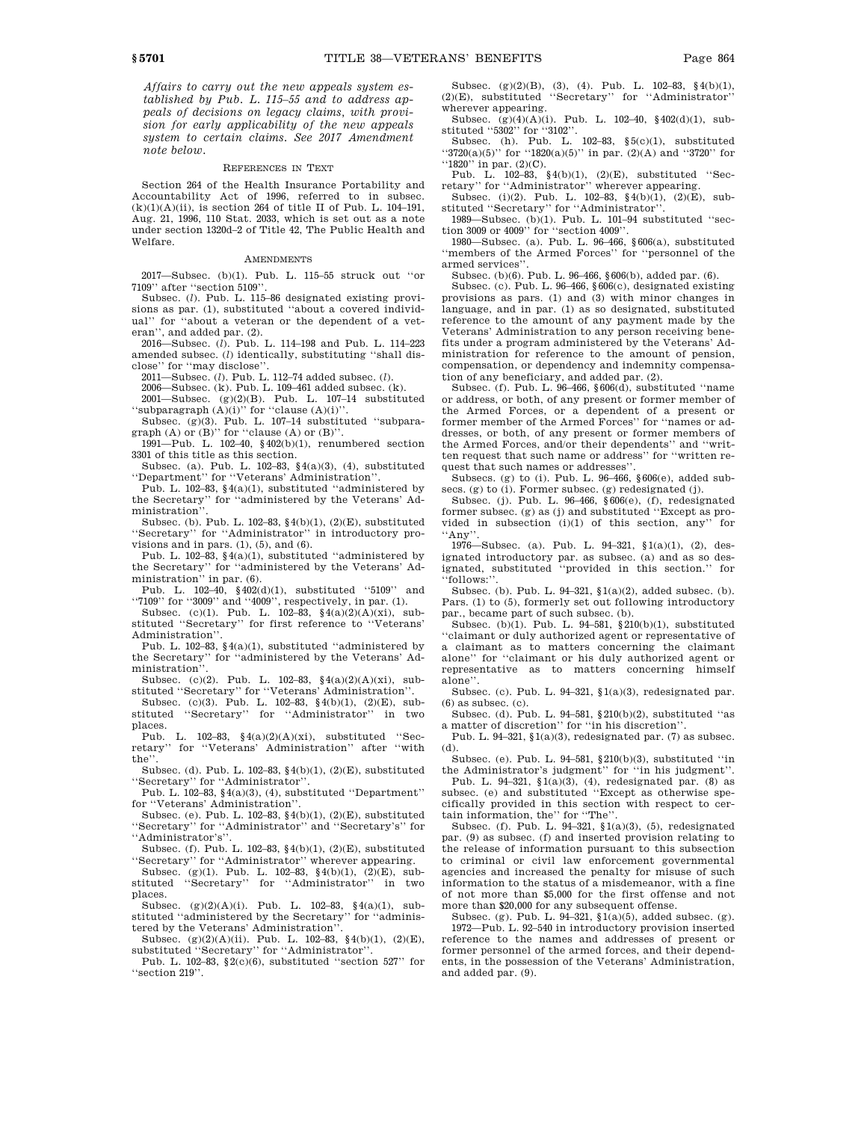*Affairs to carry out the new appeals system established by Pub. L. 115–55 and to address appeals of decisions on legacy claims, with provision for early applicability of the new appeals system to certain claims. See 2017 Amendment note below.*

### REFERENCES IN TEXT

Section 264 of the Health Insurance Portability and Accountability Act of 1996, referred to in subsec.  $(k)(1)(A)(ii)$ , is section 264 of title II of Pub. L. 104-191, Aug. 21, 1996, 110 Stat. 2033, which is set out as a note under section 1320d–2 of Title 42, The Public Health and Welfare.

#### **AMENDMENTS**

2017—Subsec. (b)(1). Pub. L. 115–55 struck out ''or 7109'' after ''section 5109''.

Subsec. (*l*). Pub. L. 115–86 designated existing provisions as par. (1), substituted ''about a covered individual'' for ''about a veteran or the dependent of a veteran'', and added par. (2).

2016—Subsec. (*l*). Pub. L. 114–198 and Pub. L. 114–223 amended subsec. (*l*) identically, substituting ''shall disclose'' for ''may disclose''.

2011—Subsec. (*l*). Pub. L. 112–74 added subsec. (*l*).

2006—Subsec. (k). Pub. L. 109–461 added subsec. (k).

2001—Subsec. (g)(2)(B). Pub. L. 107–14 substituted "subparagraph  $(A)(i)$ " for "clause  $(A)(i)$ ".

Subsec. (g)(3). Pub. L. 107–14 substituted ''subparagraph (A) or (B)'' for ''clause (A) or (B)''.

1991—Pub. L. 102–40, §402(b)(1), renumbered section 3301 of this title as this section.

Subsec. (a). Pub. L. 102–83, §4(a)(3), (4), substituted ''Department'' for ''Veterans' Administration''.

Pub. L. 102–83,  $\S(4a)(1)$ , substituted "administered by the Secretary'' for ''administered by the Veterans' Administration''.

Subsec. (b). Pub. L. 102–83, §4(b)(1), (2)(E), substituted ''Secretary'' for ''Administrator'' in introductory provisions and in pars.  $(1)$ ,  $(5)$ , and  $(6)$ .

Pub. L. 102–83, §4(a)(1), substituted ''administered by the Secretary'' for ''administered by the Veterans' Administration'' in par. (6).

Pub. L. 102–40, §402(d)(1), substituted ''5109'' and

"7109" for "3009" and "4009", respectively, in par. (1).<br>Subsec. (c)(1). Pub. L. 102–83, §4(a)(2)(A)(xi), substituted ''Secretary'' for first reference to ''Veterans' Administration''.

Pub. L. 102–83,  $\S4(a)(1)$ , substituted "administered by the Secretary'' for ''administered by the Veterans' Administration<sup>1</sup>

Subsec. (c)(2). Pub. L. 102–83,  $\S(4(a)(2)(A)(xi)$ , substituted ''Secretary'' for ''Veterans' Administration''.

Subsec. (c)(3). Pub. L. 102–83, §4(b)(1), (2)(E), substituted ''Secretary'' for ''Administrator'' in two places.

Pub. L.  $102-83$ ,  $\S4(a)(2)(A)(xi)$ , substituted "Secretary'' for ''Veterans' Administration'' after ''with the'

Subsec. (d). Pub. L. 102–83, §4(b)(1), (2)(E), substituted ''Secretary'' for ''Administrator''.

Pub. L. 102–83,  $\S(4(a)(3), (4)$ , substituted "Department" for ''Veterans' Administration''.

Subsec. (e). Pub. L. 102–83, §4(b)(1), (2)(E), substituted ''Secretary'' for ''Administrator'' and ''Secretary's'' for ''Administrator's''.

Subsec. (f). Pub. L. 102–83, §4(b)(1), (2)(E), substituted

"Secretary" for "Administrator" wherever appearing.<br>Subsec. (g)(1). Pub. L.  $102-83$ , §4(b)(1), (2)(E), substituted "Secretary" for "Administrator" in two places.

Subsec.  $(g)(2)(A)(i)$ . Pub. L. 102-83, §4(a)(1), substituted "administered by the Secretary" for "administered by the Veterans' Administration''.

Subsec. (g)(2)(A)(ii). Pub. L. 102–83, §4(b)(1), (2)(E), substituted "Secretary" for "Administrator".

Pub. L. 102–83,  $\S2(c)(6)$ , substituted "section 527" for ''section 219''.

Subsec. (g)(2)(B), (3), (4). Pub. L. 102–83, §4(b)(1), (2)(E), substituted ''Secretary'' for ''Administrator'' wherever appearing.

Subsec. (g)(4)(A)(i). Pub. L. 102–40, §402(d)(1), substituted ''5302'' for ''3102''. Subsec. (h). Pub. L. 102–83, §5(c)(1), substituted

 $``3720(a)(5)"$  for  $``1820(a)(5)"$  in par. (2)(A) and  $``3720"$  for "1820" in par. (2)(C).

Pub. L. 102–83, §4(b)(1), (2)(E), substituted ''Secretary'' for "Administrator" wherever appearing.<br>Subsec. (i)(2). Pub. L. 102–83, §4(b)(1), (2)(E), sub-

stituted ''Secretary'' for ''Administrator''.

1989—Subsec. (b)(1). Pub. L. 101–94 substituted ''sec-

tion 3009 or 4009'' for ''section 4009''. 1980—Subsec. (a). Pub. L. 96–466, §606(a), substituted ''members of the Armed Forces'' for ''personnel of the armed services''.

Subsec. (b)(6). Pub. L. 96–466, §606(b), added par. (6).

Subsec. (c). Pub. L. 96–466, §606(c), designated existing provisions as pars. (1) and (3) with minor changes in language, and in par. (1) as so designated, substituted reference to the amount of any payment made by the Veterans' Administration to any person receiving benefits under a program administered by the Veterans' Administration for reference to the amount of pension, compensation, or dependency and indemnity compensation of any beneficiary, and added par. (2).

Subsec. (f). Pub. L. 96–466, §606(d), substituted ''name or address, or both, of any present or former member of the Armed Forces, or a dependent of a present or former member of the Armed Forces'' for ''names or addresses, or both, of any present or former members of the Armed Forces, and/or their dependents'' and ''written request that such name or address'' for ''written request that such names or addresses''.

Subsecs. (g) to (i). Pub. L. 96–466, §606(e), added subsecs. (g) to (i). Former subsec. (g) redesignated (j). Subsec. (j). Pub. L. 96–466, §606(e), (f), redesignated

former subsec. (g) as (j) and substituted ''Except as provided in subsection  $(i)(1)$  of this section, any' ''Any''.

1976—Subsec. (a). Pub. L. 94–321, §1(a)(1), (2), designated introductory par. as subsec. (a) and as so designated, substituted ''provided in this section.'' for ''follows:''.

Subsec. (b). Pub. L. 94–321, §1(a)(2), added subsec. (b). Pars. (1) to (5), formerly set out following introductory par., became part of such subsec. (b).

Subsec. (b)(1). Pub. L. 94–581, §210(b)(1), substituted ''claimant or duly authorized agent or representative of a claimant as to matters concerning the claimant alone'' for ''claimant or his duly authorized agent or representative as to matters concerning himself alone''.

Subsec. (c). Pub. L. 94–321, §1(a)(3), redesignated par.  $(6)$  as subsec.  $(c)$ .

Subsec. (d). Pub. L. 94–581,  $§210(b)(2)$ , substituted "as a matter of discretion'' for ''in his discretion''.

Pub. L.  $94-321$ ,  $1(a)(3)$ , redesignated par. (7) as subsec. (d).

Subsec. (e). Pub. L. 94–581, §210(b)(3), substituted ''in the Administrator's judgment'' for ''in his judgment''.

Pub. L. 94–321,  $$1(a)(3)$ , (4), redesignated par. (8) as subsec. (e) and substituted ''Except as otherwise specifically provided in this section with respect to certain information, the'' for ''The''.

Subsec. (f). Pub. L. 94–321, §1(a)(3), (5), redesignated par. (9) as subsec. (f) and inserted provision relating to the release of information pursuant to this subsection to criminal or civil law enforcement governmental agencies and increased the penalty for misuse of such information to the status of a misdemeanor, with a fine of not more than \$5,000 for the first offense and not more than \$20,000 for any subsequent offense.<br>Subsec. (g). Pub. L. 94–321, §1(a)(5), added subsec. (g).

1972—Pub. L. 92–540 in introductory provision inserted reference to the names and addresses of present or former personnel of the armed forces, and their dependents, in the possession of the Veterans' Administration, and added par. (9).